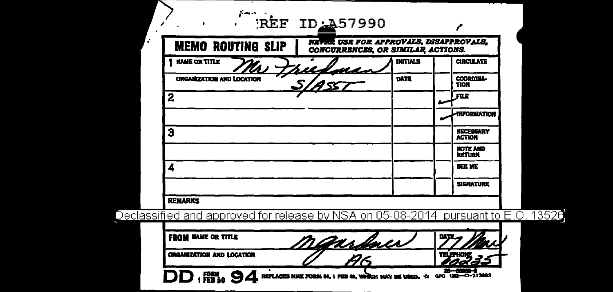| ORGANIZATION AND LOCATION                                                         | $\overline{\mathcal{G}}$                                                           |                 | <b>TELEPHONE</b> |                                   |
|-----------------------------------------------------------------------------------|------------------------------------------------------------------------------------|-----------------|------------------|-----------------------------------|
| <b>FROM NAME OR TITLE</b>                                                         | <u>Manshaw</u>                                                                     |                 |                  |                                   |
| Declassified and approved for release by NSA on 05-08-2014 pursuant to E.O. 13526 |                                                                                    |                 |                  |                                   |
| <b>REMARKS</b>                                                                    |                                                                                    |                 |                  |                                   |
|                                                                                   |                                                                                    |                 |                  | <b>SIGNATURE</b>                  |
| 4                                                                                 |                                                                                    |                 |                  | <b>SEE ME</b>                     |
|                                                                                   |                                                                                    |                 |                  | <b>NOTE AND</b><br><b>RETURN</b>  |
| 3                                                                                 |                                                                                    |                 |                  | <b>NECESSARY</b><br><b>ACTION</b> |
|                                                                                   |                                                                                    |                 |                  | <b>TNFORMATION</b>                |
| 2                                                                                 |                                                                                    |                 |                  | <b>FILE</b>                       |
| <b>ORGANIZATION AND LOCATION</b>                                                  |                                                                                    | DATE            |                  | <b>COORDINA-</b><br>TION          |
| <b>NAME OR TITLE</b>                                                              | <u>il d'arda</u>                                                                   | <b>INITIALS</b> |                  | <b>CIRCULATE</b>                  |
| <b>MEMO ROUTING SLIP</b>                                                          | <b>NEVER USE FOR APPROVALS, DISAPPROVALS,</b><br>CONCURRENCES, OR SIMILAR ACTIONS. |                 |                  |                                   |
|                                                                                   | REF ID: 457990                                                                     |                 |                  |                                   |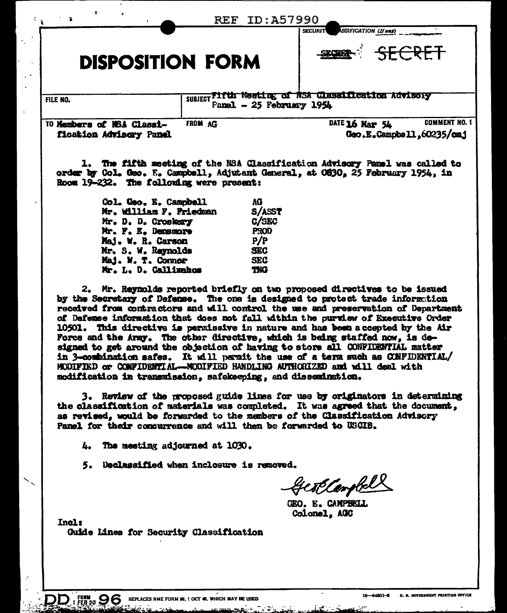|                                                                                                                             |         |                           | ID:A57990<br>SSIFICATION (If any)<br><b>SECURIT</b>                         |                      |
|-----------------------------------------------------------------------------------------------------------------------------|---------|---------------------------|-----------------------------------------------------------------------------|----------------------|
| <b>DISPOSITION FORM</b>                                                                                                     |         |                           |                                                                             | SECRET               |
| FILE NO.                                                                                                                    |         | Panel $-25$ February 1954 | SUBJECT Fifth Weeting of NSA Classification Advisory                        |                      |
| 10 Members of NSA Classi-<br>fication Advisory Panel                                                                        | FROM AG |                           | DATE 16 Mar $54$<br>Geo.E.Campbell.60235/cmj                                | <b>COMMENT NO. 1</b> |
|                                                                                                                             |         |                           |                                                                             |                      |
| order by Col. Geo. E. Campbell, Adjutant General, at O630, 25 February 1954, in<br>Room 19-232. The following were present: |         |                           | 1. The fifth meeting of the NSA Classification Advisory Panel was called to |                      |
| Col. Geo. E. Campbell                                                                                                       |         | AG                        |                                                                             |                      |
| Mr. William F. Friedman                                                                                                     |         | S/ASST                    |                                                                             |                      |
| Mr. D. D. Croskery                                                                                                          |         | C/SEC                     |                                                                             |                      |
| Mr. F. E. Demanore                                                                                                          |         | <b>PROD</b>               |                                                                             |                      |
| Maj. W. R. Carson                                                                                                           |         | P/P                       |                                                                             |                      |
| Mr. S. W. Reynolds<br>Maj. W. T. Connor                                                                                     |         | <b>SEC</b><br><b>SEC</b>  |                                                                             |                      |

by the Secretary of Defense. The one is designed to protect trade information received from contractors and will control the use and preservation of Department of Defense information that does not fall within the purview of Executive Order 10501. This directive is permissive in nature and has been a coepted by the Air Force and the Army. The other directive, which is being staffed now, is designed to get around the objection of having to store all CONFIDENTIAL matter in 3-combination safes. It will permit the use of a term such as CONFIDENTIAL/ MODIFIED or COMFIDENTIAL--MODIFIED HANDLING AUTHORIZED and will deal with modification in transmission, safekeeping, and dissemination.

3. Review of the proposed guide lines for use by originators in determining the classification of materials was completed. It was agreed that the document, as revised, would be forwarded to the members of the Classification Advisory Panel for their concurrence and will then be forwarded to USCIB.

L., The meeting adjourned at 1030.

5. Declassified when inclosure is removed.

Gestlambell

GEO. E. CAMPBELL Colonel, AGC

 $In  $1$$ 

Guide Lines for Security Classification

 $\mathbf{DD}_{1}$  form  $\mathbf{96}$  replaces nme form 86, 1 oct 48. Which may be used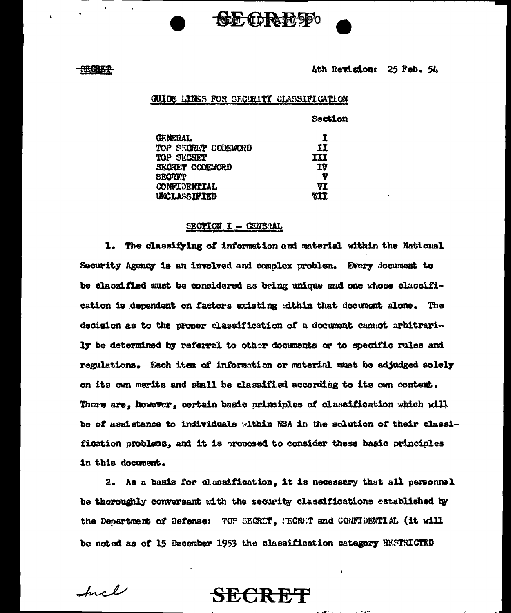

### <del>-380RBT</del>

4th Revision: 25 Feb. 54

### GUIDE LINES FOR SECURITY CLASSIFICATION

|                        | <b>Section</b> |
|------------------------|----------------|
| <b>FRERAL</b>          | I              |
| TOP SECTET CODEWORD    | II             |
| <b>MP SECTET</b>       | III            |
| <b>SECRET CODENORD</b> | 1Y             |
| SECRET                 | V              |
| <b>CONFIDENTIAL</b>    | VI             |
| <b>INCLASSIPIED</b>    | <b>RII</b>     |

### SECTION I - GENERAL

1. The classifying of information and material within the National Security Agency is an involved and complex problem. Every document to be classified must be considered as being unique and one whose classification is dependent on factors existing within that document alone. The decision as to the proper classification of a document cannot arbitrarily be determined by referral to other documents or to specific rules and regulations. Each item of information or material must be adjudged solely on its own merits and shall be classified according to its own content. There are, however, certain basic principles of classification which will be of assistance to individuals within NSA in the solution of their classification problems, and it is proposed to consider these basic principles in this document.

2. As a basis for classification, it is necessary that all personnel be thoroughly conversant with the security classifications established by the Department of Defense: TOP SEGRET, SEGRET and CONFIDENTIAL (it will be noted as of 15 December 1953 the classification category RESTRICTED

**SECRET** 

Incl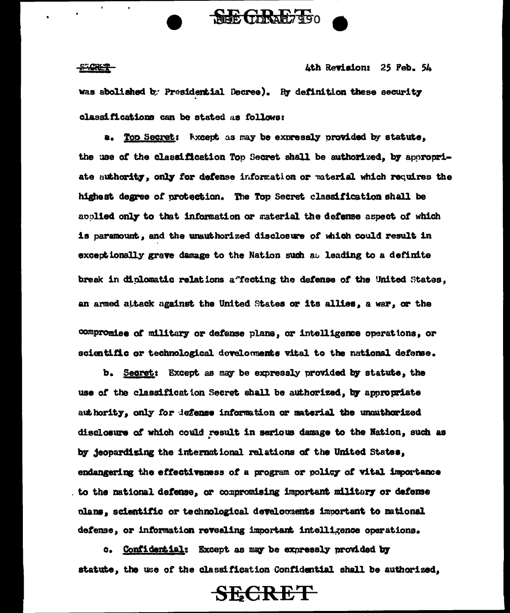### **STORES**

4th Revision: 25 Feb. 54

was abolished by Presidential Decree). By definition these security classifications can be stated as follows:

**SHE CORAL 7990** 

a. Too Secret: Wixcept as may be expressly provided by statute. the use of the classification Top Secret shall be authorized, by appropriate authority, only for defense information or material which requires the highest degree of protection. The Top Secret classification shall be applied only to that information or material the defense aspect of which is paramount, and the unauthorized disclosure of which could result in exceptionally grave damage to the Nation such as leading to a definite break in diplomatic relations affecting the defense of the United States, an armed attack against the United States or its allies, a war, or the

compromise of military or defense plans, or intelligence operations, or scientific or technological develoments vital to the national defense.

b. Secret: Except as may be expressly provided by statute, the use of the classification Secret shall be authorized, by appropriate authority, only for defense information or material the unauthorized disclosure of which could result in serious damage to the Nation, such as by jeopardizing the international relations of the United States, endangering the effectiveness of a program or policy of vital importance to the national defense, or compromising important military or defense plans, scientific or technological developments important to national defense, or information revealing important intelligence operations.

c. Confidential: Except as may be expressly provided by statute, the use of the classification Confidential shall be authorized,

**SECRET**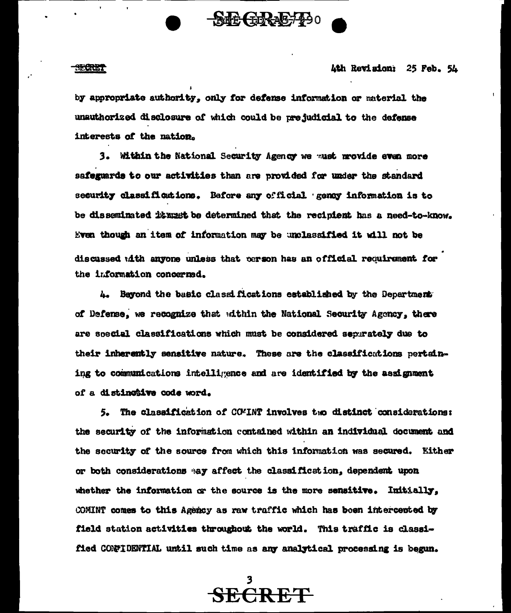

4th Revision: 25 Feb. 54

by appropriate authority, only for defense information or material the unauthorized disclosure of which could be prejudicial to the defense interests of the nation.

SECRE-PO

3. Within the National Security Agency we must mrovide even more safeguards to our activities than are provided for under the standard security classifications. Before any official gency information is to be disseminated it must be determined that the recipient has a need-to-know. Even though an item of information may be unclassified it will not be discussed with anyone unless that person has an official requirement for the information concerned.

4. Beyond the basic classifications established by the Department of Defense, we recognize that within the National Security Agency, there are soecial classifications which must be considered separately due to their inherently sensitive nature. These are the classifications pertaining to communications intelligence and are identified by the assignment of a distinctive code word.

5. The classification of COVINT involves two distinct considerations: the security of the information contained within an individual document and the security of the source from which this information was secured. Either or both considerations ay affect the classification, dependent upon whether the information or the source is the more sensitive. Initially, COMINT comes to this Agency as raw traffic which has been intercepted by field station activities throughout the world. This traffic is classified CONFIDENTIAL until such time as any analytical processing is begun.

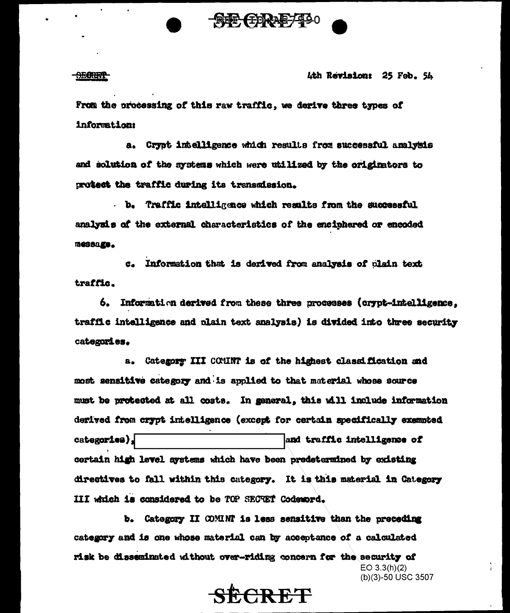

#### <del>OEONNY</del>

4th Revision: 25 Feb. 54

(b)(3)-50 USC 3507

From the processing of this raw traffic, we derive three types of information:

a. Crypt intelligence which results from successful analysis and solution of the systems which were utilized by the originators to protect the traffic during its transmission.

b. Traffic intelligence which results from the successful analysis of the external characteristics of the encinhered or encoded message.

c. Information that is derived from analysis of plain text traffic.

6. Information derived from these three processes (crypt-intelligence. traffic intelligence and plain text analysis) is divided into three security categories.

a. Category III COMMT is of the highest classification and most sensitive category and is applied to that material whose source must be protected at all costs. In general, this will include information derived from crypt intelligence (except for certain specifically exempted categories), and traffic intelligence of certain high level systems which have been predetermined by existing directives to fall within this category. It is this material in Category III which is considered to be TOP SECTET Codeword.

b. Category II COMINT is less sensitive than the preceding category and is one whose material can by acceptance of a calculated risk be disseminated without over-riding concern for the security of  $EO 3.3(h)(2)$ 

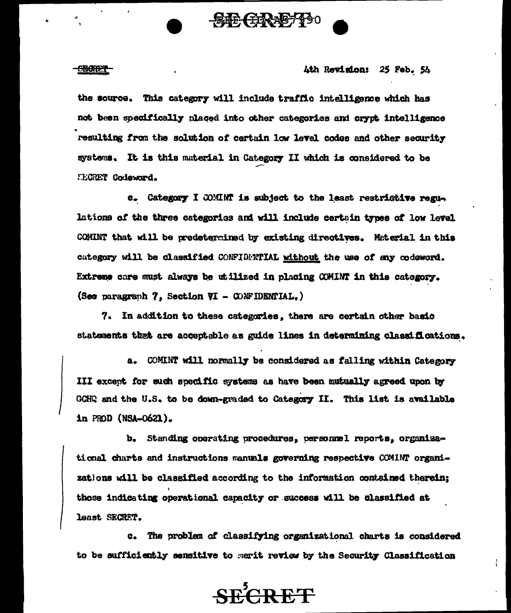

<del>CEONET</del>

### Ath Revision: 25 Feb. 54

the source. This category will include traffic intelligence which has not been specifically placed into other categories and crypt intelligence resulting from the solution of certain low level codes and other security systems. It is this material in Category II which is considered to be **CECRET Codeword.** 

c. Category I COMINT is subject to the least restrictive regulations of the three categories and will include certain types of low level COMINT that will be predetermined by existing directives. Material in this category will be classified CONFIDENTIAL without the use of any codeword. Extreme care must always be utilized in placing COMINT in this category. (See paragraph 7, Section VI - CONFIDENTIAL.)

7. In addition to these categories, there are certain other basic statements that are acceptable as guide lines in determining classifications.

 $\mathbf{a}$ . COMINT will normally be considered as falling within Category III excent for such specific systems as have been mutually agreed upon by GCHQ and the U.S. to be down-graded to Category II. This list is available in PROD (NSA-0621).

b. Standing operating procedures, personnel reports, organizational charts and instructions manuals governing respective COMINT organizations will be classified according to the information contained therein; those indicating operational capacity or success will be classified at least SECRET.

The problem of classifying organizational charts is considered  $$ to be sufficiently sensitive to merit review by the Security Classification

**SECRET**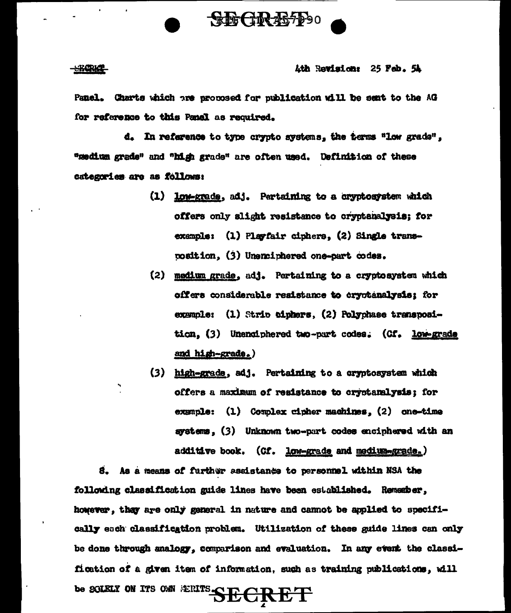

### **SECRET**

### Ath Revision: 25 Feb. 54

Panel. Charts which are proposed for publication will be sent to the AG for reference to this Panal as required.

d. In reference to type crypto systems, the terms "low grads", "medium grade" and "high grade" are often used. Definition of these categories are as follows:

- (1) low-grade, adj. Pertaining to a cryptosystem which offers only slight resistance to cryptenalysis; for exemple: (1) Playfair ciphers, (2) Single transrosition. (3) Unencinhered one-part codes.
- (2) medium grade, adj. Pertaining to a cryptosystem which offers considerable resistance to cryptanalysis: for example: (1) Strip ciphers, (2) Polyphase transposition, (3) Unenciphered two-part codes. (Cf. low-grade and high-grade.)
- (3) high-grade, adj. Pertaining to a cryptosystem which offers a maximum of resistance to cryptanalysis; for example: (1) Complex cipher machines, (2) one-time systems, (3) Unknown two-part codes enciphered with an additive book. (Cf. low-grade and medium-grade.)

S. As a means of further assistance to personnel within NSA the following classification guide lines have been established. Remember, however, they are only general in nature and cannot be applied to specifically each classification problem. Utilization of these guide lines can only be done through analogy, comparison and evaluation. In any event the classification of a given item of information, such as training publications, will be SOLELY ON ITS OWN ERITS **SECRET**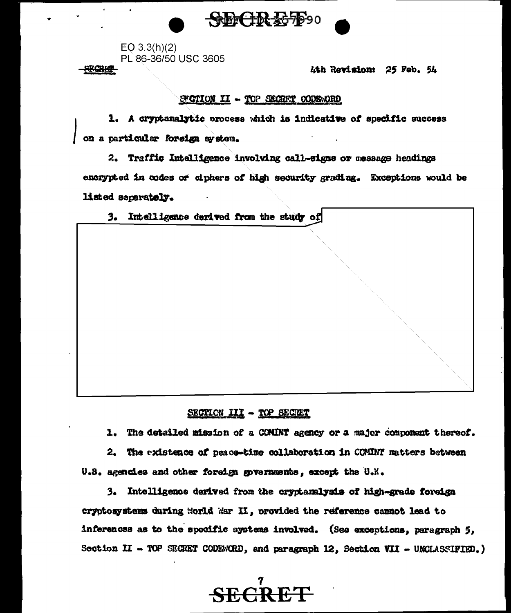

 $EO$  3.3(h)(2) PL 86-36/50 USC 3605

RœM

Ath Ravision: 25 Feb. 54

## SPOTION II - TOP SECRET CODEWORD

1. A cryptenalytic process which is indicative of specific success on a particular foreign ay stem.

2. Traffic Intelligence involving call-signs or message headings encrypted in codes or ciphers of high security grading. Exceptions would be listed separately.

| 3. | Intelligence derived from the study of |  |  |  |
|----|----------------------------------------|--|--|--|
|    |                                        |  |  |  |
|    |                                        |  |  |  |
|    |                                        |  |  |  |
|    |                                        |  |  |  |
|    |                                        |  |  |  |
|    |                                        |  |  |  |
|    |                                        |  |  |  |
|    |                                        |  |  |  |
|    |                                        |  |  |  |
|    |                                        |  |  |  |

# SECTION III - TOP SECRET

1. The detailed mission of a COMINT agency or a major component thereof.

2. The existence of peace-time collaboration in COMINT matters between U.S. agencies and other foreign governments, except the U.K.

3. Intelligence derived from the cryptanalysis of high-grade foreign cryptosystems during Horld War II, provided the reference cannot lead to inferences as to the specific systems involved. (See exceptions, paragraph 5, Section II - TOP SEGRET CODEWORD, and paragraph 12, Section VII - UNCLASSIFIED.)

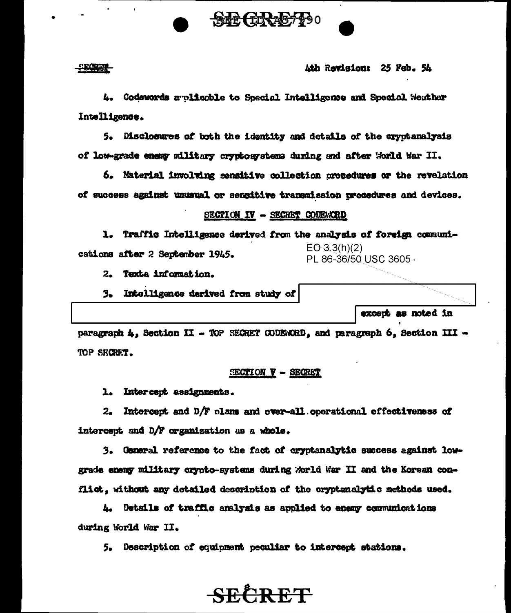

- Bord

Ath Revision: 25 Feb. 54

4. Codewords a plicable to Special Intelligence and Special Weather Intelligence.

5. Disclosures of both the identity and details of the cryptanalysis of low-grade enemy military cryptosystems during and after World War II.

6. Material involving sensitive collection procedures or the revelation of success against unusual or sengitive transmission procedures and devices.

### SECTION IV - SECRET CODEWORD

1. Traffic Intelligence derived from the analysis of foreign communi- $EO-3.3(h)(2)$ cations after 2 September 1945. PL 86-36/50 USC 3605 -

2. Texta information.

Intelligence derived from study of  $3.1$ 

except as noted in

paragraph 4, Section II - TOP SECRET CODEWORD, and paragraph 6, Section III -TOP SECRET.

### SECTION V - SECRET

1. Intercept assignments.

2. Intercept and D/F plans and over-all operational effectiveness of intercept and D/F organization as a whole.

3. General reference to the fact of cryptanalytic success against lowgrade enemy military crypto-systems during World War II and the Korean conflict, without any detailed description of the cryptanalytic methods used.

4. Details of traffic analysis as applied to enemy communications during World War II.

5. Description of equipment peculiar to intercept stations.

# **SECRET**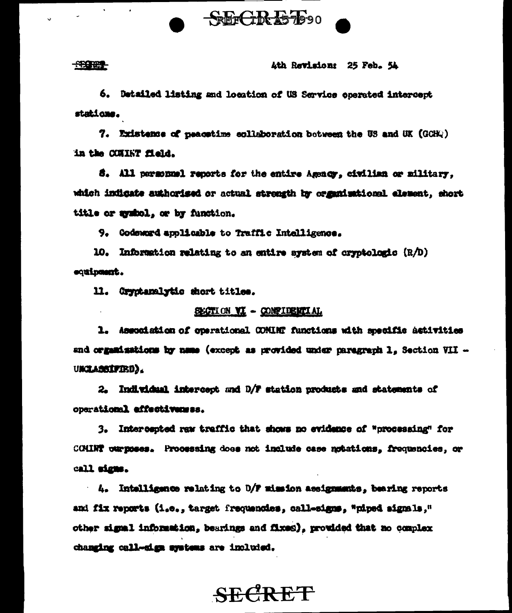

### **REGRES**

### Ath Ravisions 25 Feb. 54

6. Detailed listing and location of US Service operated intercept stations.

7. Existence of neacetime collaboration between the US and UK (GCHO) in the COUNT field.

8. All personnel reports for the entire Assnor, civilian or military. which indicate authorised or actual strength by organisational element, short title or avabol, or by function.

9. Godsward applicable to Traffic Intelligence.

10. Information relating to an entire system of cryptologic  $(R/D)$ equineant.

11. Grystanalytic short titles.

### SECTION VI - CONFIDENTIAL

1. Association of operational COMINT functions with specific astivities and organizations by name (except as provided under paragraph 1. Section VII -**UKCLASSIFIED.** 

2. Individual intercept and D/F station products and statements of operational effectivemes.

3. Intercepted raw traffic that shows no evidence of "processing" for COMINT ournoses. Processing does not include case notations. frequencies, or call signs.

4. Intelligence relating to D/F mission assignments, bearing reports and fix reports (i.e., target frequencies, call-signs, "niped signals," other signal information, bearings and fixed), provided that no complex changing call-sign systems are included.

# **SECRET**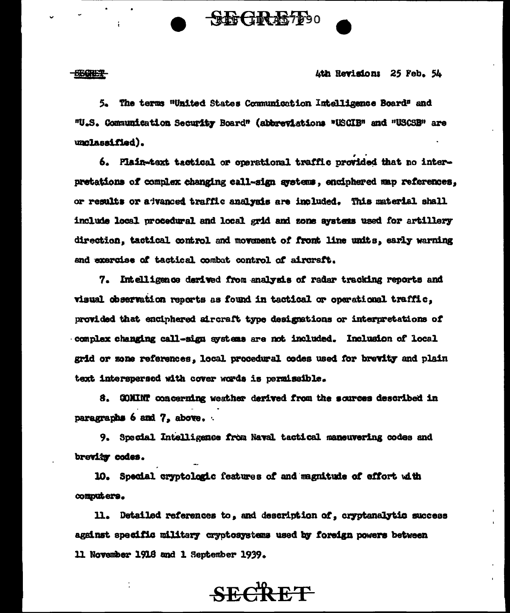### **SECRET**

Ath Revisions 25 Feb. 54

5. The terms "United States Communication Intelligence Board" and "U.S. Communication Security Board" (abbreviations "USCIB" and "USCSB" are unclassified).

SEGRETT 90

6. Plain-text tactical or operational traffic provided that no interpretations of complex changing call-sign gystems, encinhered map references. or results or advanced traffic analysis are included. This material shall include local procedural and local grid and zone systems used for artillery direction, tactical control and movement of front line units, early warning and exercise of tactical combat control of aircraft.

7. Intelligence derived from analysis of radar tracking reports and visual observation reports as found in tactical or operational traffic. provided that enciphered aircraft type designations or interpretations of complex changing call-sign systems are not included. Inclusion of local grid or zone references, local procedural codes used for brevity and plain text interspersed with cover words is permissible.

8. GOMINT concerning weather derived from the sources described in paragraphs 6 and 7, above.

9. Special Intelligence from Naval tactical maneuvering codes and brevity codes.

10. Special cryptologic features of and magnitude of effort with computers.

11. Detailed references to, and description of, cryptanalytic success against specific military cryptosystems used by foreign powers between 11 November 1916 and 1 September 1939.

**SECRET**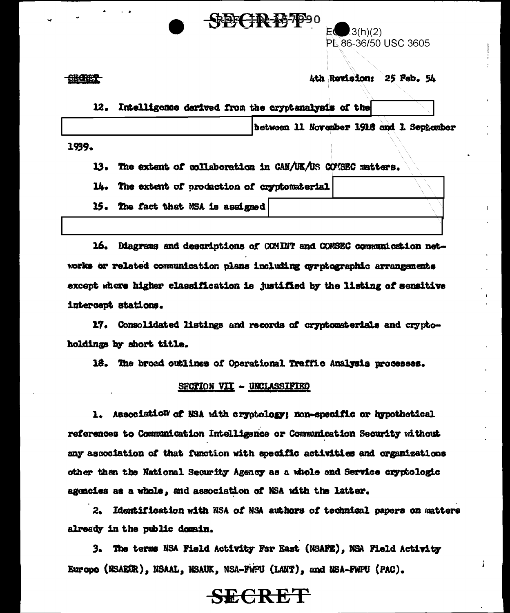

 $(3(h)(2))$ PL 86-36/50 USC 3605

Ath Revision: 25 Feb. 54

į.

Intelligence derived from the cryctanalysis of the 12.

between 11 November 1918 and 1 September

1939.

The extent of collaboration in CAN/UK/US COVSEC matters. 13.

The extent of production of cryptomaterial 14.

15. The fact that NSA is assigned

16. Diagrams and descriptions of COMINT and COMSEC communication networks or related communication plans including gyrptographic arrangements except where higher classification is justified by the listing of sensitive intercent stations.

17. Consolidated listings and records of cryptomaterials and cryptoholdings by short title.

18. The broad outlines of Operational Traffic Analysis processes.

## SECTION VII - UNCLASSIFIED

1. Association of NSA with cryptology; non-specific or hypothetical references to Communication Intelligence or Communication Security without any association of that function with specific activities and organizations other than the National Security Agency as a whole and Service cryptologic agencies as a whole, and association of NSA with the latter.

Identification with NSA of NSA authors of technical papers on matters  $2.$ already in the public domain.

3. The terms NSA Field Activity Far East (NSAFE), NSA Field Activity Europe (NSAEUR), NSAAL, NSAUK, NSA-FWPU (LANT), and NSA-FWPU (PAC).

# **SECRET**

### **SHORES**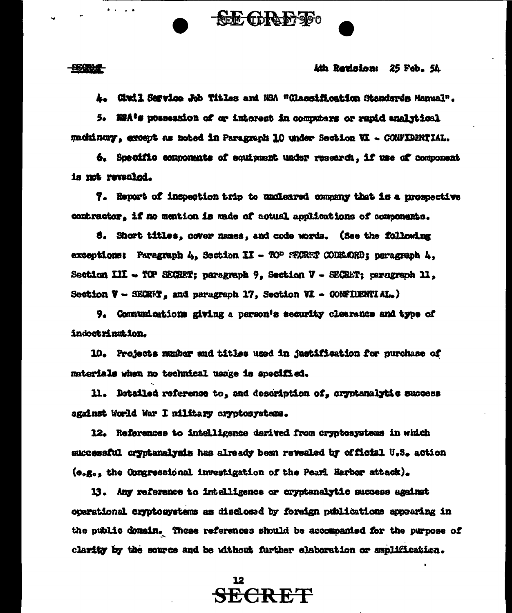<del>889014</del>

### *ki*k Revision: 25 Feb. 54

4. Civil Service Job Titles and NSA "Classification Standards Manual".

 $\begin{smallmatrix} \textcircled{6}\textcircled{6}\textcircled{6} \end{smallmatrix}$ 

5. MAA's possession of or interest in computers or rapid analytical machinony, except as noted in Paragraph 10 under Section VI - CONFIDENTIAL.

6. Specific components of equipment under research, if use of component is not revealed.

7. Report of inspection trip to undleared company that is a prospective contractor, if no mention is made of actual applications of components.

8. Short titles, cover names, and code words. (See the following exceptions: Paragraph 4, Section II - TOP SECRET CODE.ORD; paragraph 4, Section III - TOP SECRET; paragraph 9, Section V - SECRET; paragraph 11, Section  $V - \text{SKRF}$ , and paragraph 17, Section VI - CONFIUENTIAL.)

9. Communications giving a person's security clearance and type of indoctrination.

10. Projects munber and titles used in justification for purchase of materials when no technical usage is specified.

11. Detailed reference to, and description of, cryptanalytic success against World War I military cryptosystems.

12. References to intelligence derived from cryptosystems in which successful cryptanelysis has already been revealed by official U.S. action (e.g., the Congressional investigation of the Pearl Harbor attack).

13. Any reference to intelligence or cryptanalytic success against operational cryptosystems as disclosed by foreign publications appearing in the public domain. These references should be accompanied for the purpose of clarity by the source and be without further elaboration or smplification.